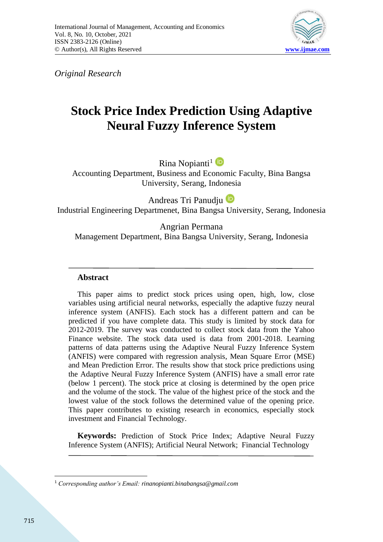

*Original Research*

# **Stock Price Index Prediction Using Adaptive Neural Fuzzy Inference System**

Rina Nopianti<sup>1</sup>

Accounting Department, Business and Economic Faculty, Bina Bangsa University, Serang, Indonesia

Andreas Tri Panudju

Industrial Engineering Departmenet, Bina Bangsa University, Serang, Indonesia

Angrian Permana Management Department, Bina Bangsa University, Serang, Indonesia

# **Abstract**

This paper aims to predict stock prices using open, high, low, close variables using artificial neural networks, especially the adaptive fuzzy neural inference system (ANFIS). Each stock has a different pattern and can be predicted if you have complete data. This study is limited by stock data for 2012-2019. The survey was conducted to collect stock data from the Yahoo Finance website. The stock data used is data from 2001-2018. Learning patterns of data patterns using the Adaptive Neural Fuzzy Inference System (ANFIS) were compared with regression analysis, Mean Square Error (MSE) and Mean Prediction Error. The results show that stock price predictions using the Adaptive Neural Fuzzy Inference System (ANFIS) have a small error rate (below 1 percent). The stock price at closing is determined by the open price and the volume of the stock. The value of the highest price of the stock and the lowest value of the stock follows the determined value of the opening price. This paper contributes to existing research in economics, especially stock investment and Financial Technology.

**Keywords:** Prediction of Stock Price Index; Adaptive Neural Fuzzy Inference System (ANFIS); Artificial Neural Network; Financial Technology

<sup>1</sup> *Corresponding author's Email: rinanopianti.binabangsa@gmail.com*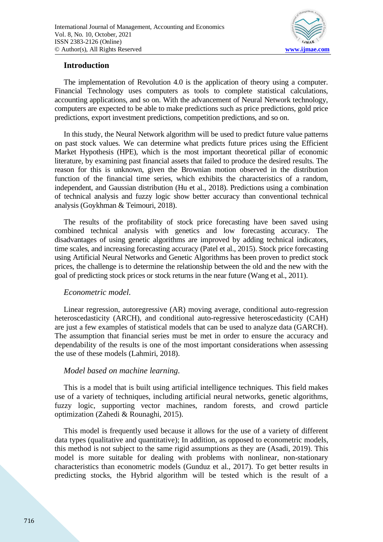

# **Introduction**

The implementation of Revolution 4.0 is the application of theory using a computer. Financial Technology uses computers as tools to complete statistical calculations, accounting applications, and so on. With the advancement of Neural Network technology, computers are expected to be able to make predictions such as price predictions, gold price predictions, export investment predictions, competition predictions, and so on.

In this study, the Neural Network algorithm will be used to predict future value patterns on past stock values. We can determine what predicts future prices using the Efficient Market Hypothesis (HPE), which is the most important theoretical pillar of economic literature, by examining past financial assets that failed to produce the desired results. The reason for this is unknown, given the Brownian motion observed in the distribution function of the financial time series, which exhibits the characteristics of a random, independent, and Gaussian distribution (Hu et al., 2018). Predictions using a combination of technical analysis and fuzzy logic show better accuracy than conventional technical analysis (Goykhman & Teimouri, 2018).

The results of the profitability of stock price forecasting have been saved using combined technical analysis with genetics and low forecasting accuracy. The disadvantages of using genetic algorithms are improved by adding technical indicators, time scales, and increasing forecasting accuracy (Patel et al., 2015). Stock price forecasting using Artificial Neural Networks and Genetic Algorithms has been proven to predict stock prices, the challenge is to determine the relationship between the old and the new with the goal of predicting stock prices or stock returns in the near future (Wang et al., 2011).

## *Econometric model.*

Linear regression, autoregressive (AR) moving average, conditional auto-regression heteroscedasticity (ARCH), and conditional auto-regressive heteroscedasticity (CAH) are just a few examples of statistical models that can be used to analyze data (GARCH). The assumption that financial series must be met in order to ensure the accuracy and dependability of the results is one of the most important considerations when assessing the use of these models (Lahmiri, 2018).

## *Model based on machine learning.*

This is a model that is built using artificial intelligence techniques. This field makes use of a variety of techniques, including artificial neural networks, genetic algorithms, fuzzy logic, supporting vector machines, random forests, and crowd particle optimization (Zahedi & Rounaghi, 2015).

This model is frequently used because it allows for the use of a variety of different data types (qualitative and quantitative); In addition, as opposed to econometric models, this method is not subject to the same rigid assumptions as they are (Asadi, 2019). This model is more suitable for dealing with problems with nonlinear, non-stationary characteristics than econometric models (Gunduz et al., 2017). To get better results in predicting stocks, the Hybrid algorithm will be tested which is the result of a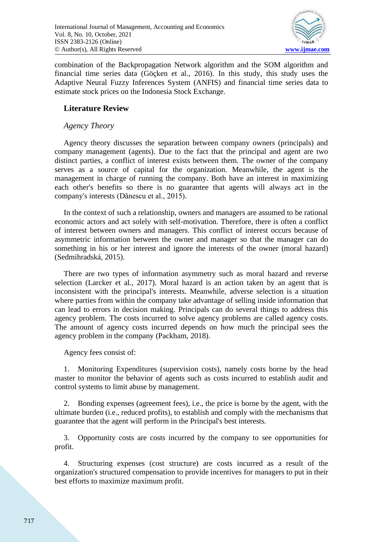

combination of the Backpropagation Network algorithm and the SOM algorithm and financial time series data (Göçken et al., 2016). In this study, this study uses the Adaptive Neural Fuzzy Inferences System (ANFIS) and financial time series data to estimate stock prices on the Indonesia Stock Exchange.

# **Literature Review**

# *Agency Theory*

Agency theory discusses the separation between company owners (principals) and company management (agents). Due to the fact that the principal and agent are two distinct parties, a conflict of interest exists between them. The owner of the company serves as a source of capital for the organization. Meanwhile, the agent is the management in charge of running the company. Both have an interest in maximizing each other's benefits so there is no guarantee that agents will always act in the company's interests (Dănescu et al., 2015).

In the context of such a relationship, owners and managers are assumed to be rational economic actors and act solely with self-motivation. Therefore, there is often a conflict of interest between owners and managers. This conflict of interest occurs because of asymmetric information between the owner and manager so that the manager can do something in his or her interest and ignore the interests of the owner (moral hazard) (Sedmihradská, 2015).

There are two types of information asymmetry such as moral hazard and reverse selection (Larcker et al., 2017). Moral hazard is an action taken by an agent that is inconsistent with the principal's interests. Meanwhile, adverse selection is a situation where parties from within the company take advantage of selling inside information that can lead to errors in decision making. Principals can do several things to address this agency problem. The costs incurred to solve agency problems are called agency costs. The amount of agency costs incurred depends on how much the principal sees the agency problem in the company (Packham, 2018).

Agency fees consist of:

1. Monitoring Expenditures (supervision costs), namely costs borne by the head master to monitor the behavior of agents such as costs incurred to establish audit and control systems to limit abuse by management.

2. Bonding expenses (agreement fees), i.e., the price is borne by the agent, with the ultimate burden (i.e., reduced profits), to establish and comply with the mechanisms that guarantee that the agent will perform in the Principal's best interests.

3. Opportunity costs are costs incurred by the company to see opportunities for profit.

4. Structuring expenses (cost structure) are costs incurred as a result of the organization's structured compensation to provide incentives for managers to put in their best efforts to maximize maximum profit.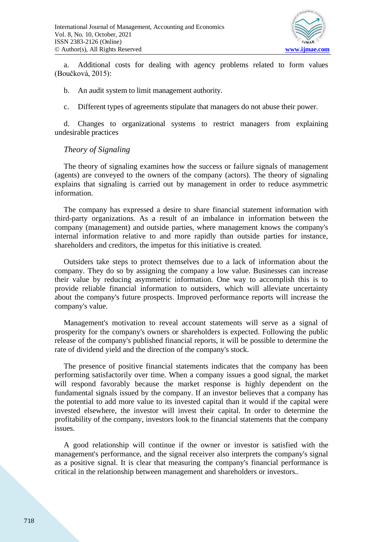

a. Additional costs for dealing with agency problems related to form values (Boučková, 2015):

b. An audit system to limit management authority.

c. Different types of agreements stipulate that managers do not abuse their power.

d. Changes to organizational systems to restrict managers from explaining undesirable practices

#### *Theory of Signaling*

The theory of signaling examines how the success or failure signals of management (agents) are conveyed to the owners of the company (actors). The theory of signaling explains that signaling is carried out by management in order to reduce asymmetric information.

The company has expressed a desire to share financial statement information with third-party organizations. As a result of an imbalance in information between the company (management) and outside parties, where management knows the company's internal information relative to and more rapidly than outside parties for instance, shareholders and creditors, the impetus for this initiative is created.

Outsiders take steps to protect themselves due to a lack of information about the company. They do so by assigning the company a low value. Businesses can increase their value by reducing asymmetric information. One way to accomplish this is to provide reliable financial information to outsiders, which will alleviate uncertainty about the company's future prospects. Improved performance reports will increase the company's value.

Management's motivation to reveal account statements will serve as a signal of prosperity for the company's owners or shareholders is expected. Following the public release of the company's published financial reports, it will be possible to determine the rate of dividend yield and the direction of the company's stock.

The presence of positive financial statements indicates that the company has been performing satisfactorily over time. When a company issues a good signal, the market will respond favorably because the market response is highly dependent on the fundamental signals issued by the company. If an investor believes that a company has the potential to add more value to its invested capital than it would if the capital were invested elsewhere, the investor will invest their capital. In order to determine the profitability of the company, investors look to the financial statements that the company issues.

A good relationship will continue if the owner or investor is satisfied with the management's performance, and the signal receiver also interprets the company's signal as a positive signal. It is clear that measuring the company's financial performance is critical in the relationship between management and shareholders or investors..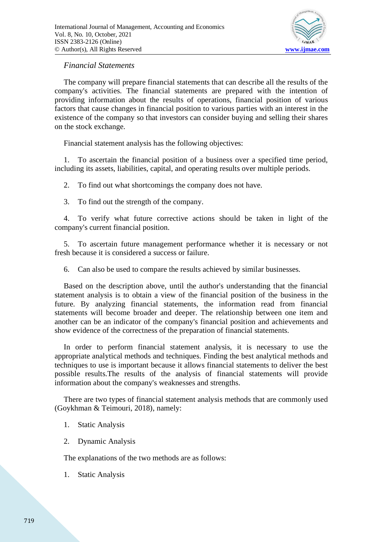

#### *Financial Statements*

The company will prepare financial statements that can describe all the results of the company's activities. The financial statements are prepared with the intention of providing information about the results of operations, financial position of various factors that cause changes in financial position to various parties with an interest in the existence of the company so that investors can consider buying and selling their shares on the stock exchange.

Financial statement analysis has the following objectives:

1. To ascertain the financial position of a business over a specified time period, including its assets, liabilities, capital, and operating results over multiple periods.

2. To find out what shortcomings the company does not have.

3. To find out the strength of the company.

4. To verify what future corrective actions should be taken in light of the company's current financial position.

5. To ascertain future management performance whether it is necessary or not fresh because it is considered a success or failure.

6. Can also be used to compare the results achieved by similar businesses.

Based on the description above, until the author's understanding that the financial statement analysis is to obtain a view of the financial position of the business in the future. By analyzing financial statements, the information read from financial statements will become broader and deeper. The relationship between one item and another can be an indicator of the company's financial position and achievements and show evidence of the correctness of the preparation of financial statements.

In order to perform financial statement analysis, it is necessary to use the appropriate analytical methods and techniques. Finding the best analytical methods and techniques to use is important because it allows financial statements to deliver the best possible results.The results of the analysis of financial statements will provide information about the company's weaknesses and strengths.

There are two types of financial statement analysis methods that are commonly used (Goykhman & Teimouri, 2018), namely:

- 1. Static Analysis
- 2. Dynamic Analysis

The explanations of the two methods are as follows:

1. Static Analysis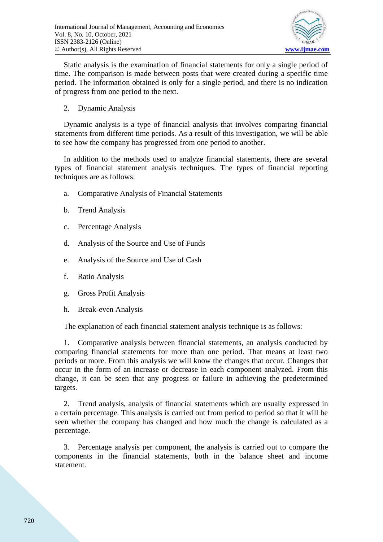

Static analysis is the examination of financial statements for only a single period of time. The comparison is made between posts that were created during a specific time period. The information obtained is only for a single period, and there is no indication of progress from one period to the next.

2. Dynamic Analysis

Dynamic analysis is a type of financial analysis that involves comparing financial statements from different time periods. As a result of this investigation, we will be able to see how the company has progressed from one period to another.

In addition to the methods used to analyze financial statements, there are several types of financial statement analysis techniques. The types of financial reporting techniques are as follows:

- a. Comparative Analysis of Financial Statements
- b. Trend Analysis
- c. Percentage Analysis
- d. Analysis of the Source and Use of Funds
- e. Analysis of the Source and Use of Cash
- f. Ratio Analysis
- g. Gross Profit Analysis
- h. Break-even Analysis

The explanation of each financial statement analysis technique is as follows:

1. Comparative analysis between financial statements, an analysis conducted by comparing financial statements for more than one period. That means at least two periods or more. From this analysis we will know the changes that occur. Changes that occur in the form of an increase or decrease in each component analyzed. From this change, it can be seen that any progress or failure in achieving the predetermined targets.

2. Trend analysis, analysis of financial statements which are usually expressed in a certain percentage. This analysis is carried out from period to period so that it will be seen whether the company has changed and how much the change is calculated as a percentage.

3. Percentage analysis per component, the analysis is carried out to compare the components in the financial statements, both in the balance sheet and income statement.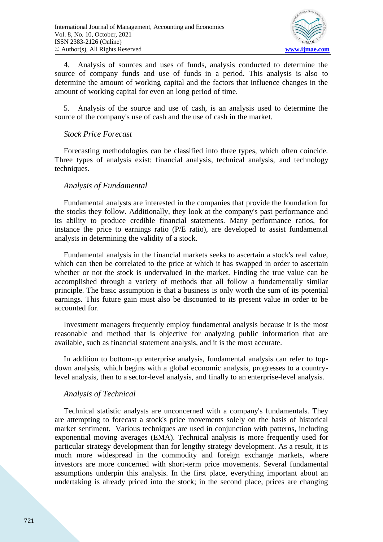

4. Analysis of sources and uses of funds, analysis conducted to determine the source of company funds and use of funds in a period. This analysis is also to determine the amount of working capital and the factors that influence changes in the amount of working capital for even an long period of time.

5. Analysis of the source and use of cash, is an analysis used to determine the source of the company's use of cash and the use of cash in the market.

#### *Stock Price Forecast*

Forecasting methodologies can be classified into three types, which often coincide. Three types of analysis exist: financial analysis, technical analysis, and technology techniques.

#### *Analysis of Fundamental*

Fundamental analysts are interested in the companies that provide the foundation for the stocks they follow. Additionally, they look at the company's past performance and its ability to produce credible financial statements. Many performance ratios, for instance the price to earnings ratio (P/E ratio), are developed to assist fundamental analysts in determining the validity of a stock.

Fundamental analysis in the financial markets seeks to ascertain a stock's real value, which can then be correlated to the price at which it has swapped in order to ascertain whether or not the stock is undervalued in the market. Finding the true value can be accomplished through a variety of methods that all follow a fundamentally similar principle. The basic assumption is that a business is only worth the sum of its potential earnings. This future gain must also be discounted to its present value in order to be accounted for.

Investment managers frequently employ fundamental analysis because it is the most reasonable and method that is objective for analyzing public information that are available, such as financial statement analysis, and it is the most accurate.

In addition to bottom-up enterprise analysis, fundamental analysis can refer to topdown analysis, which begins with a global economic analysis, progresses to a countrylevel analysis, then to a sector-level analysis, and finally to an enterprise-level analysis.

## *Analysis of Technical*

Technical statistic analysts are unconcerned with a company's fundamentals. They are attempting to forecast a stock's price movements solely on the basis of historical market sentiment. Various techniques are used in conjunction with patterns, including exponential moving averages (EMA). Technical analysis is more frequently used for particular strategy development than for lengthy strategy development. As a result, it is much more widespread in the commodity and foreign exchange markets, where investors are more concerned with short-term price movements. Several fundamental assumptions underpin this analysis. In the first place, everything important about an undertaking is already priced into the stock; in the second place, prices are changing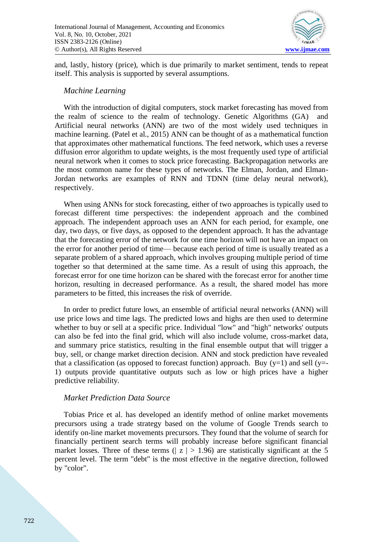

and, lastly, history (price), which is due primarily to market sentiment, tends to repeat itself. This analysis is supported by several assumptions.

#### *Machine Learning*

With the introduction of digital computers, stock market forecasting has moved from the realm of science to the realm of technology. Genetic Algorithms (GA) and Artificial neural networks (ANN) are two of the most widely used techniques in machine learning. (Patel et al., 2015) ANN can be thought of as a mathematical function that approximates other mathematical functions. The feed network, which uses a reverse diffusion error algorithm to update weights, is the most frequently used type of artificial neural network when it comes to stock price forecasting. Backpropagation networks are the most common name for these types of networks. The Elman, Jordan, and Elman-Jordan networks are examples of RNN and TDNN (time delay neural network), respectively.

When using ANNs for stock forecasting, either of two approaches is typically used to forecast different time perspectives: the independent approach and the combined approach. The independent approach uses an ANN for each period, for example, one day, two days, or five days, as opposed to the dependent approach. It has the advantage that the forecasting error of the network for one time horizon will not have an impact on the error for another period of time— because each period of time is usually treated as a separate problem of a shared approach, which involves grouping multiple period of time together so that determined at the same time. As a result of using this approach, the forecast error for one time horizon can be shared with the forecast error for another time horizon, resulting in decreased performance. As a result, the shared model has more parameters to be fitted, this increases the risk of override.

In order to predict future lows, an ensemble of artificial neural networks (ANN) will use price lows and time lags. The predicted lows and highs are then used to determine whether to buy or sell at a specific price. Individual "low" and "high" networks' outputs can also be fed into the final grid, which will also include volume, cross-market data, and summary price statistics, resulting in the final ensemble output that will trigger a buy, sell, or change market direction decision. ANN and stock prediction have revealed that a classification (as opposed to forecast function) approach. Buy  $(v=1)$  and sell  $(v=$ -1) outputs provide quantitative outputs such as low or high prices have a higher predictive reliability.

#### *Market Prediction Data Source*

Tobias Price et al. has developed an identify method of online market movements precursors using a trade strategy based on the volume of Google Trends search to identify on-line market movements precursors. They found that the volume of search for financially pertinent search terms will probably increase before significant financial market losses. Three of these terms ( $|z| > 1.96$ ) are statistically significant at the 5 percent level. The term "debt" is the most effective in the negative direction, followed by "color".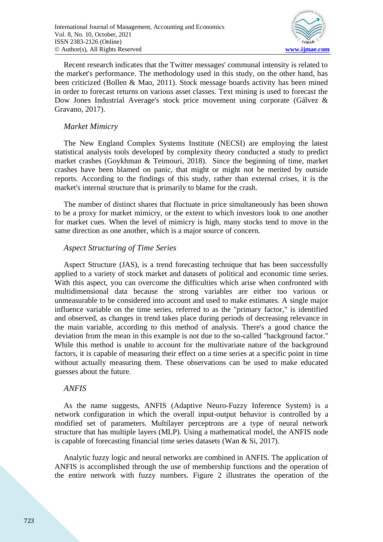

Recent research indicates that the Twitter messages' communal intensity is related to the market's performance. The methodology used in this study, on the other hand, has been criticized (Bollen & Mao, 2011). Stock message boards activity has been mined in order to forecast returns on various asset classes. Text mining is used to forecast the Dow Jones Industrial Average's stock price movement using corporate (Gálvez & Gravano, 2017).

#### *Market Mimicry*

The New England Complex Systems Institute (NECSI) are employing the latest statistical analysis tools developed by complexity theory conducted a study to predict market crashes (Goykhman & Teimouri, 2018). Since the beginning of time, market crashes have been blamed on panic, that might or might not be merited by outside reports. According to the findings of this study, rather than external crises, it is the market's internal structure that is primarily to blame for the crash.

The number of distinct shares that fluctuate in price simultaneously has been shown to be a proxy for market mimicry, or the extent to which investors look to one another for market cues. When the level of mimicry is high, many stocks tend to move in the same direction as one another, which is a major source of concern.

## *Aspect Structuring of Time Series*

Aspect Structure (JAS), is a trend forecasting technique that has been successfully applied to a variety of stock market and datasets of political and economic time series. With this aspect, you can overcome the difficulties which arise when confronted with multidimensional data because the strong variables are either too various or unmeasurable to be considered into account and used to make estimates. A single major influence variable on the time series, referred to as the "primary factor," is identified and observed, as changes in trend takes place during periods of decreasing relevance in the main variable, according to this method of analysis. There's a good chance the deviation from the mean in this example is not due to the so-called "background factor." While this method is unable to account for the multivariate nature of the background factors, it is capable of measuring their effect on a time series at a specific point in time without actually measuring them. These observations can be used to make educated guesses about the future.

## *ANFIS*

As the name suggests, ANFIS (Adaptive Neuro-Fuzzy Inference System) is a network configuration in which the overall input-output behavior is controlled by a modified set of parameters. Multilayer perceptrons are a type of neural network structure that has multiple layers (MLP). Using a mathematical model, the ANFIS node is capable of forecasting financial time series datasets (Wan & Si, 2017).

Analytic fuzzy logic and neural networks are combined in ANFIS. The application of ANFIS is accomplished through the use of membership functions and the operation of the entire network with fuzzy numbers. Figure 2 illustrates the operation of the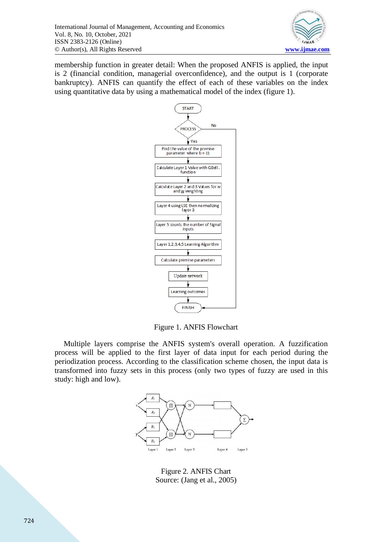

membership function in greater detail: When the proposed ANFIS is applied, the input is 2 (financial condition, managerial overconfidence), and the output is 1 (corporate bankruptcy). ANFIS can quantify the effect of each of these variables on the index using quantitative data by using a mathematical model of the index (figure 1).



Figure 1. ANFIS Flowchart

Multiple layers comprise the ANFIS system's overall operation. A fuzzification process will be applied to the first layer of data input for each period during the periodization process. According to the classification scheme chosen, the input data is transformed into fuzzy sets in this process (only two types of fuzzy are used in this study: high and low).



Figure 2. ANFIS Chart Source: (Jang et al., 2005)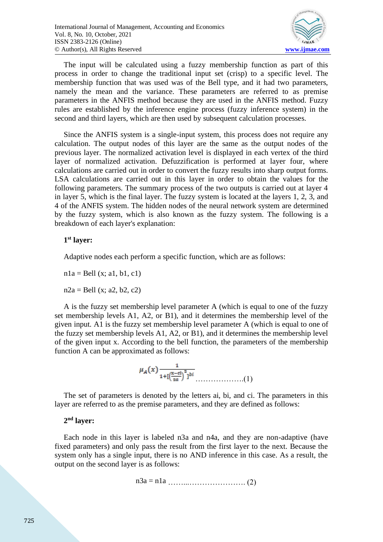

The input will be calculated using a fuzzy membership function as part of this process in order to change the traditional input set (crisp) to a specific level. The membership function that was used was of the Bell type, and it had two parameters, namely the mean and the variance. These parameters are referred to as premise parameters in the ANFIS method because they are used in the ANFIS method. Fuzzy rules are established by the inference engine process (fuzzy inference system) in the second and third layers, which are then used by subsequent calculation processes.

Since the ANFIS system is a single-input system, this process does not require any calculation. The output nodes of this layer are the same as the output nodes of the previous layer. The normalized activation level is displayed in each vertex of the third layer of normalized activation. Defuzzification is performed at layer four, where calculations are carried out in order to convert the fuzzy results into sharp output forms. LSA calculations are carried out in this layer in order to obtain the values for the following parameters. The summary process of the two outputs is carried out at layer 4 in layer 5, which is the final layer. The fuzzy system is located at the layers 1, 2, 3, and 4 of the ANFIS system. The hidden nodes of the neural network system are determined by the fuzzy system, which is also known as the fuzzy system. The following is a breakdown of each layer's explanation:

#### **1 st layer:**

Adaptive nodes each perform a specific function, which are as follows:

 $n1a = Bell(x; a1, b1, c1)$ 

 $n2a = Bell(x; a2, b2, c2)$ 

A is the fuzzy set membership level parameter A (which is equal to one of the fuzzy set membership levels A1, A2, or B1), and it determines the membership level of the given input. A1 is the fuzzy set membership level parameter A (which is equal to one of the fuzzy set membership levels A1, A2, or B1), and it determines the membership level of the given input x. According to the bell function, the parameters of the membership function A can be approximated as follows:

$$
\mu_A(x) \frac{1}{1 + [(\frac{x - ci}{2a})^2]^{bi}}
$$
 (1)

The set of parameters is denoted by the letters ai, bi, and ci. The parameters in this layer are referred to as the premise parameters, and they are defined as follows:

# **2 nd layer:**

Each node in this layer is labeled n3a and n4a, and they are non-adaptive (have fixed parameters) and only pass the result from the first layer to the next. Because the system only has a single input, there is no AND inference in this case. As a result, the output on the second layer is as follows:

……...…………………. (2) n3a <sup>=</sup> n1a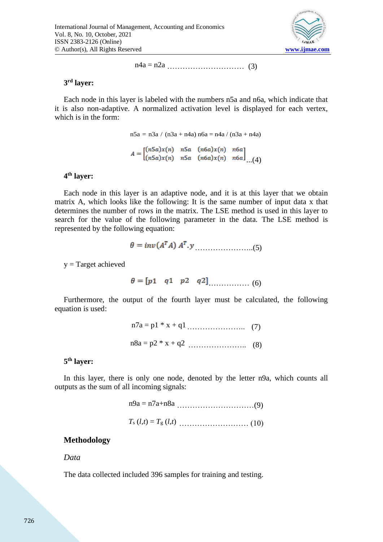

………………………… (3) n4a <sup>=</sup> n2a

#### **3 rd layer:**

Each node in this layer is labeled with the numbers n5a and n6a, which indicate that it is also non-adaptive. A normalized activation level is displayed for each vertex, which is in the form:

> $A = \begin{bmatrix} (n5a)x(n) & n5a & (n6a)x(n) & n6a \\ (n5a)x(n) & n5a & (n6a)x(n) & n6a \end{bmatrix}$  (4)  $n5a = n3a / (n3a + n4a)$   $n6a = n4a / (n3a + n4a)$

#### **4 th layer:**

Each node in this layer is an adaptive node, and it is at this layer that we obtain matrix A, which looks like the following: It is the same number of input data x that determines the number of rows in the matrix. The LSE method is used in this layer to search for the value of the following parameter in the data. The LSE method is represented by the following equation:

$$
\theta = inv(A^T A) A^T.y \qquad (5)
$$

y = Target achieved

$$
\theta = [p1 \quad q1 \quad p2 \quad q2]
$$
\n
$$
(6)
$$

Furthermore, the output of the fourth layer must be calculated, the following equation is used:

$$
n7a = p1 * x + q1
$$
 (7)  

$$
n8a = p2 * x + q2
$$
 (8)

#### **5 th layer:**

In this layer, there is only one node, denoted by the letter n9a, which counts all outputs as the sum of all incoming signals:

> …………………………(9) n9a = n7a+n8a ……………………… (10) *T*<sup>s</sup> (*l,t*) = *T*<sup>g</sup> (*l,t*)

## **Methodology**

#### *Data*

The data collected included 396 samples for training and testing.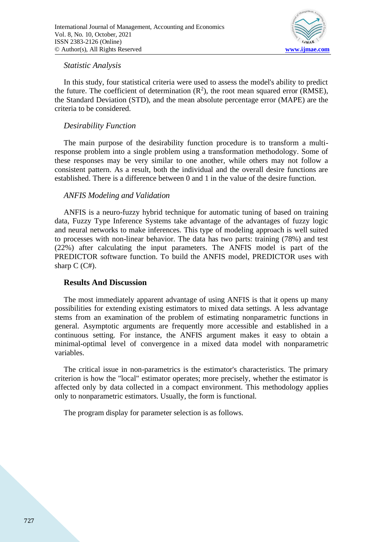

#### *Statistic Analysis*

In this study, four statistical criteria were used to assess the model's ability to predict the future. The coefficient of determination  $(R^2)$ , the root mean squared error (RMSE), the Standard Deviation (STD), and the mean absolute percentage error (MAPE) are the criteria to be considered.

## *Desirability Function*

The main purpose of the desirability function procedure is to transform a multiresponse problem into a single problem using a transformation methodology. Some of these responses may be very similar to one another, while others may not follow a consistent pattern. As a result, both the individual and the overall desire functions are established. There is a difference between 0 and 1 in the value of the desire function.

## *ANFIS Modeling and Validation*

ANFIS is a neuro-fuzzy hybrid technique for automatic tuning of based on training data, Fuzzy Type Inference Systems take advantage of the advantages of fuzzy logic and neural networks to make inferences. This type of modeling approach is well suited to processes with non-linear behavior. The data has two parts: training (78%) and test (22%) after calculating the input parameters. The ANFIS model is part of the PREDICTOR software function. To build the ANFIS model, PREDICTOR uses with sharp  $C$  ( $C#$ ).

#### **Results And Discussion**

The most immediately apparent advantage of using ANFIS is that it opens up many possibilities for extending existing estimators to mixed data settings. A less advantage stems from an examination of the problem of estimating nonparametric functions in general. Asymptotic arguments are frequently more accessible and established in a continuous setting. For instance, the ANFIS argument makes it easy to obtain a minimal-optimal level of convergence in a mixed data model with nonparametric variables.

The critical issue in non-parametrics is the estimator's characteristics. The primary criterion is how the "local" estimator operates; more precisely, whether the estimator is affected only by data collected in a compact environment. This methodology applies only to nonparametric estimators. Usually, the form is functional.

The program display for parameter selection is as follows.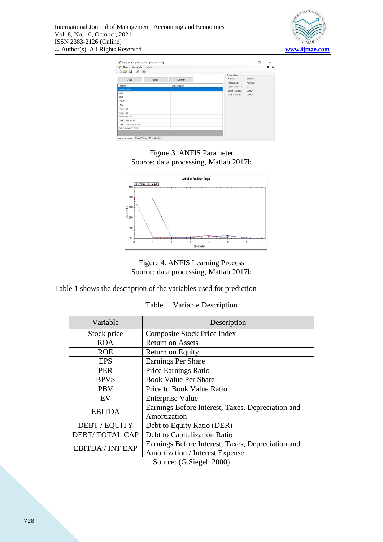

| File Analysis Help |      |             |                             |                                        |  | $\sigma \times$ |  |  |
|--------------------|------|-------------|-----------------------------|----------------------------------------|--|-----------------|--|--|
|                    |      |             |                             |                                        |  |                 |  |  |
| Add                | Edit | Delete      | Series Data<br>Name : saham |                                        |  |                 |  |  |
| Name               |      | Description |                             | Frequency : Annual<br>Observations : 6 |  |                 |  |  |
| stock price        |      |             | Start Periode : 2013        |                                        |  |                 |  |  |
| <b>EPS</b>         |      |             | End Periode : 2018          |                                        |  |                 |  |  |
| PER                |      |             |                             |                                        |  |                 |  |  |
| <b>BVPS</b>        |      |             |                             |                                        |  |                 |  |  |
| PBV                |      |             |                             |                                        |  |                 |  |  |
| ROA (3)            |      |             |                             |                                        |  |                 |  |  |
| ROE (3)            |      |             |                             |                                        |  |                 |  |  |
| <b>EV/EBITDA</b>   |      |             |                             |                                        |  |                 |  |  |
| DEBT/EQUITY        |      |             |                             |                                        |  |                 |  |  |
| DEBT/TOTAL CAP     |      |             |                             |                                        |  |                 |  |  |
| ERITDA/INT EXP     |      |             |                             |                                        |  |                 |  |  |

Figure 3. ANFIS Parameter Source: data processing, Matlab 2017b



Figure 4. ANFIS Learning Process Source: data processing, Matlab 2017b

Table 1 shows the description of the variables used for prediction

Table 1. Variable Description

| Variable                | Description                                       |  |  |  |
|-------------------------|---------------------------------------------------|--|--|--|
| Stock price             | <b>Composite Stock Price Index</b>                |  |  |  |
| <b>ROA</b>              | <b>Return on Assets</b>                           |  |  |  |
| <b>ROE</b>              | Return on Equity                                  |  |  |  |
| <b>EPS</b>              | <b>Earnings Per Share</b>                         |  |  |  |
| <b>PER</b>              | Price Earnings Ratio                              |  |  |  |
| <b>BPVS</b>             | <b>Book Value Per Share</b>                       |  |  |  |
| <b>PBV</b>              | Price to Book Value Ratio                         |  |  |  |
| EV                      | <b>Enterprise Value</b>                           |  |  |  |
| <b>EBITDA</b>           | Earnings Before Interest, Taxes, Depreciation and |  |  |  |
|                         | Amortization                                      |  |  |  |
| DEBT / EQUITY           | Debt to Equity Ratio (DER)                        |  |  |  |
| <b>DEBT/TOTAL CAP</b>   | Debt to Capitalization Ratio                      |  |  |  |
| <b>EBITDA / INT EXP</b> | Earnings Before Interest, Taxes, Depreciation and |  |  |  |
|                         | <b>Amortization</b> / Interest Expense            |  |  |  |
| $Source (G Slead 2000)$ |                                                   |  |  |  |

Source: (G.Siegel, 2000)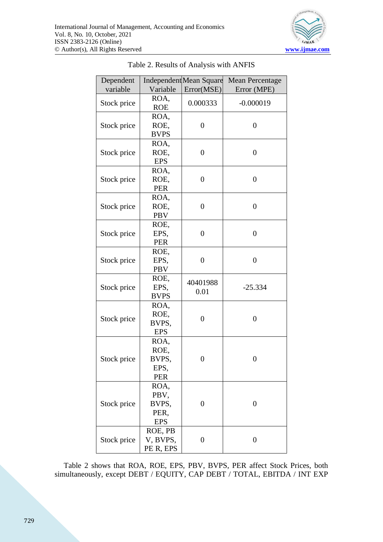

| Dependent<br>variable | Variable                                    | <b>Independent Mean Square</b><br>Error(MSE) | <b>Mean Percentage</b><br>Error (MPE) |
|-----------------------|---------------------------------------------|----------------------------------------------|---------------------------------------|
| Stock price           | ROA,<br><b>ROE</b>                          | 0.000333                                     | $-0.000019$                           |
| Stock price           | ROA,<br>ROE,<br><b>BVPS</b>                 | $\overline{0}$                               | $\overline{0}$                        |
| Stock price           | ROA,<br>ROE,<br><b>EPS</b>                  | $\overline{0}$                               | $\overline{0}$                        |
| Stock price           | ROA,<br>ROE,<br><b>PER</b>                  | $\overline{0}$                               | $\overline{0}$                        |
| Stock price           | ROA,<br>ROE,<br><b>PBV</b>                  | $\overline{0}$                               | $\overline{0}$                        |
| Stock price           | ROE,<br>EPS,<br><b>PER</b>                  | $\overline{0}$                               | $\overline{0}$                        |
| Stock price           | ROE,<br>EPS,<br><b>PBV</b>                  | $\overline{0}$                               | $\overline{0}$                        |
| Stock price           | ROE,<br>EPS,<br><b>BVPS</b>                 | 40401988<br>0.01                             | $-25.334$                             |
| Stock price           | ROA,<br>ROE,<br>BVPS,<br><b>EPS</b>         | $\overline{0}$                               | $\overline{0}$                        |
| Stock price           | ROA,<br>ROE,<br>BVPS,<br>EPS,<br><b>PER</b> | 0                                            | $\boldsymbol{0}$                      |
| Stock price           | ROA,<br>PBV,<br>BVPS,<br>PER,<br><b>EPS</b> | $\boldsymbol{0}$                             | $\boldsymbol{0}$                      |
| Stock price           | ROE, PB<br>V, BVPS,<br>PE R, EPS            | $\boldsymbol{0}$                             | $\boldsymbol{0}$                      |

Table 2 shows that ROA, ROE, EPS, PBV, BVPS, PER affect Stock Prices, both simultaneously, except DEBT / EQUITY, CAP DEBT / TOTAL, EBITDA / INT EXP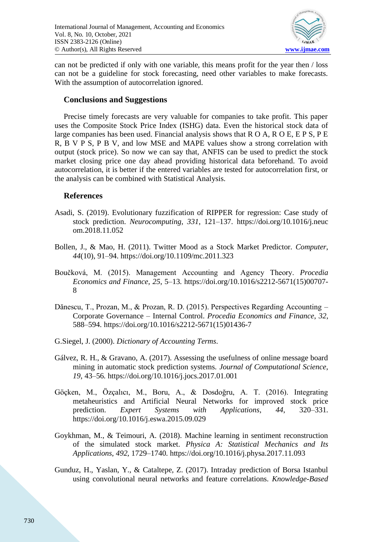

can not be predicted if only with one variable, this means profit for the year then / loss can not be a guideline for stock forecasting, need other variables to make forecasts. With the assumption of autocorrelation ignored.

# **Conclusions and Suggestions**

Precise timely forecasts are very valuable for companies to take profit. This paper uses the Composite Stock Price Index (ISHG) data. Even the historical stock data of large companies has been used. Financial analysis shows that R O A, R O E, E P S, P E R, B V P S, P B V, and low MSE and MAPE values show a strong correlation with output (stock price). So now we can say that, ANFIS can be used to predict the stock market closing price one day ahead providing historical data beforehand. To avoid autocorrelation, it is better if the entered variables are tested for autocorrelation first, or the analysis can be combined with Statistical Analysis.

#### **References**

- Asadi, S. (2019). Evolutionary fuzzification of RIPPER for regression: Case study of stock prediction. *Neurocomputing*, *331*, 121–137. https://doi.org/10.1016/j.neuc om.2018.11.052
- Bollen, J., & Mao, H. (2011). Twitter Mood as a Stock Market Predictor. *Computer*, *44*(10), 91–94. https://doi.org/10.1109/mc.2011.323
- Boučková, M. (2015). Management Accounting and Agency Theory. *Procedia Economics and Finance*, *25*, 5–13. https://doi.org/10.1016/s2212-5671(15)00707- 8
- Dănescu, T., Prozan, M., & Prozan, R. D. (2015). Perspectives Regarding Accounting Corporate Governance – Internal Control. *Procedia Economics and Finance*, *32*, 588–594. https://doi.org/10.1016/s2212-5671(15)01436-7
- G.Siegel, J. (2000). *Dictionary of Accounting Terms*.
- Gálvez, R. H., & Gravano, A. (2017). Assessing the usefulness of online message board mining in automatic stock prediction systems. *Journal of Computational Science*, *19*, 43–56. https://doi.org/10.1016/j.jocs.2017.01.001
- Göçken, M., Özçalıcı, M., Boru, A., & Dosdoğru, A. T. (2016). Integrating metaheuristics and Artificial Neural Networks for improved stock price prediction. *Expert Systems with Applications*, *44*, 320–331. https://doi.org/10.1016/j.eswa.2015.09.029
- Goykhman, M., & Teimouri, A. (2018). Machine learning in sentiment reconstruction of the simulated stock market. *Physica A: Statistical Mechanics and Its Applications*, *492*, 1729–1740. https://doi.org/10.1016/j.physa.2017.11.093
- Gunduz, H., Yaslan, Y., & Cataltepe, Z. (2017). Intraday prediction of Borsa Istanbul using convolutional neural networks and feature correlations. *Knowledge-Based*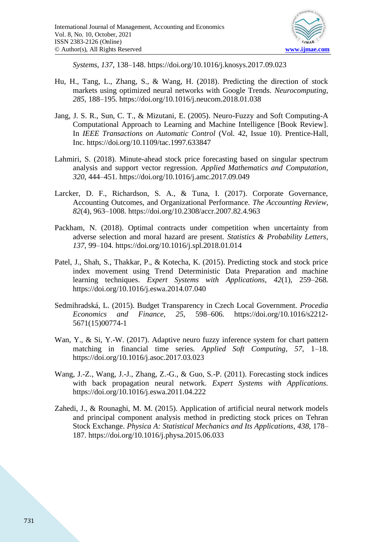

*Systems*, *137*, 138–148. https://doi.org/10.1016/j.knosys.2017.09.023

- Hu, H., Tang, L., Zhang, S., & Wang, H. (2018). Predicting the direction of stock markets using optimized neural networks with Google Trends. *Neurocomputing*, *285*, 188–195. https://doi.org/10.1016/j.neucom.2018.01.038
- Jang, J. S. R., Sun, C. T., & Mizutani, E. (2005). Neuro-Fuzzy and Soft Computing-A Computational Approach to Learning and Machine Intelligence [Book Review]. In *IEEE Transactions on Automatic Control* (Vol. 42, Issue 10). Prentice-Hall, Inc. https://doi.org/10.1109/tac.1997.633847
- Lahmiri, S. (2018). Minute-ahead stock price forecasting based on singular spectrum analysis and support vector regression. *Applied Mathematics and Computation*, *320*, 444–451. https://doi.org/10.1016/j.amc.2017.09.049
- Larcker, D. F., Richardson, S. A., & Tuna, I. (2017). Corporate Governance, Accounting Outcomes, and Organizational Performance. *The Accounting Review*, *82*(4), 963–1008. https://doi.org/10.2308/accr.2007.82.4.963
- Packham, N. (2018). Optimal contracts under competition when uncertainty from adverse selection and moral hazard are present. *Statistics & Probability Letters*, *137*, 99–104. https://doi.org/10.1016/j.spl.2018.01.014
- Patel, J., Shah, S., Thakkar, P., & Kotecha, K. (2015). Predicting stock and stock price index movement using Trend Deterministic Data Preparation and machine learning techniques. *Expert Systems with Applications*, *42*(1), 259–268. https://doi.org/10.1016/j.eswa.2014.07.040
- Sedmihradská, L. (2015). Budget Transparency in Czech Local Government. *Procedia Economics and Finance*, *25*, 598–606. https://doi.org/10.1016/s2212- 5671(15)00774-1
- Wan, Y., & Si, Y.-W. (2017). Adaptive neuro fuzzy inference system for chart pattern matching in financial time series. *Applied Soft Computing*, *57*, 1–18. https://doi.org/10.1016/j.asoc.2017.03.023
- Wang, J.-Z., Wang, J.-J., Zhang, Z.-G., & Guo, S.-P. (2011). Forecasting stock indices with back propagation neural network. *Expert Systems with Applications*. https://doi.org/10.1016/j.eswa.2011.04.222
- Zahedi, J., & Rounaghi, M. M. (2015). Application of artificial neural network models and principal component analysis method in predicting stock prices on Tehran Stock Exchange. *Physica A: Statistical Mechanics and Its Applications*, *438*, 178– 187. https://doi.org/10.1016/j.physa.2015.06.033